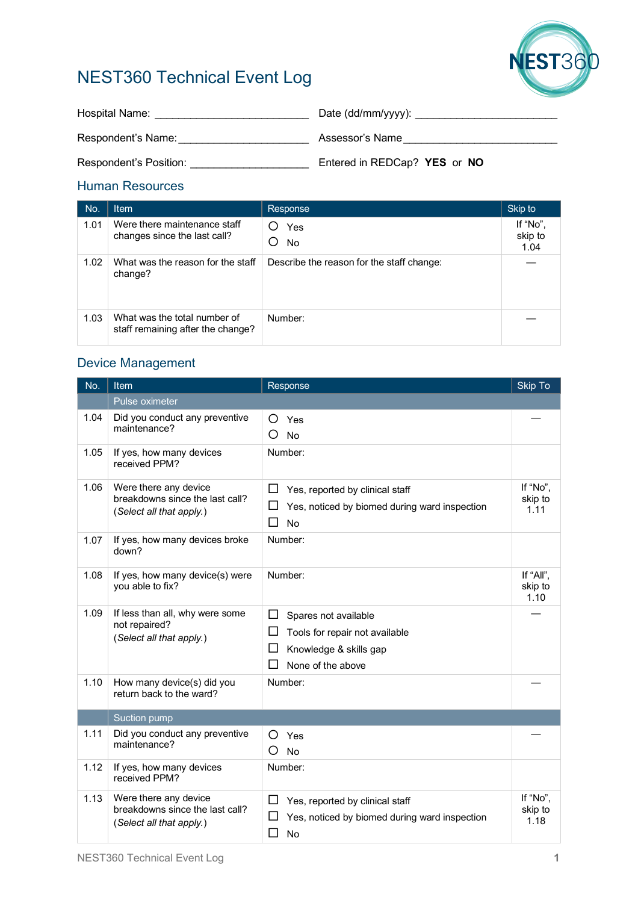

# NEST360 Technical Event Log

| Hospital Name:         | Date (dd/mm/yyyy):           |
|------------------------|------------------------------|
| Respondent's Name:     | Assessor's Name              |
| Respondent's Position: | Entered in REDCap? YES or NO |

### Human Resources

| No.  | <b>Item</b>                                                       | Response                                  | Skip to                     |
|------|-------------------------------------------------------------------|-------------------------------------------|-----------------------------|
| 1.01 | Were there maintenance staff<br>changes since the last call?      | ( )<br>Yes<br>No.<br>O                    | If "No",<br>skip to<br>1.04 |
| 1.02 | What was the reason for the staff<br>change?                      | Describe the reason for the staff change: |                             |
| 1.03 | What was the total number of<br>staff remaining after the change? | Number:                                   |                             |

## Device Management

| No.  | Item                                                                                 | Response                                                                                                                                  | Skip To                      |
|------|--------------------------------------------------------------------------------------|-------------------------------------------------------------------------------------------------------------------------------------------|------------------------------|
|      | Pulse oximeter                                                                       |                                                                                                                                           |                              |
| 1.04 | Did you conduct any preventive<br>maintenance?                                       | Yes<br>O<br>$\left( \right)$<br><b>No</b>                                                                                                 |                              |
| 1.05 | If yes, how many devices<br>received PPM?                                            | Number:                                                                                                                                   |                              |
| 1.06 | Were there any device<br>breakdowns since the last call?<br>(Select all that apply.) | $\Box$<br>Yes, reported by clinical staff<br>ப<br>Yes, noticed by biomed during ward inspection<br>□<br><b>No</b>                         | If "No",<br>skip to<br>1.11  |
| 1.07 | If yes, how many devices broke<br>down?                                              | Number:                                                                                                                                   |                              |
| 1.08 | If yes, how many device(s) were<br>you able to fix?                                  | Number:                                                                                                                                   | If "All",<br>skip to<br>1.10 |
| 1.09 | If less than all, why were some<br>not repaired?<br>(Select all that apply.)         | $\Box$<br>Spares not available<br>ப<br>Tools for repair not available<br>ப<br>Knowledge & skills gap<br>$\mathsf{L}$<br>None of the above |                              |
| 1.10 | How many device(s) did you<br>return back to the ward?                               | Number:                                                                                                                                   |                              |
|      | Suction pump                                                                         |                                                                                                                                           |                              |
| 1.11 | Did you conduct any preventive<br>maintenance?                                       | O<br>Yes<br>O<br><b>No</b>                                                                                                                |                              |
| 1.12 | If yes, how many devices<br>received PPM?                                            | Number:                                                                                                                                   |                              |
| 1.13 | Were there any device<br>breakdowns since the last call?<br>(Select all that apply.) | $\Box$<br>Yes, reported by clinical staff<br>ப<br>Yes, noticed by biomed during ward inspection<br>□<br><b>No</b>                         | If "No".<br>skip to<br>1.18  |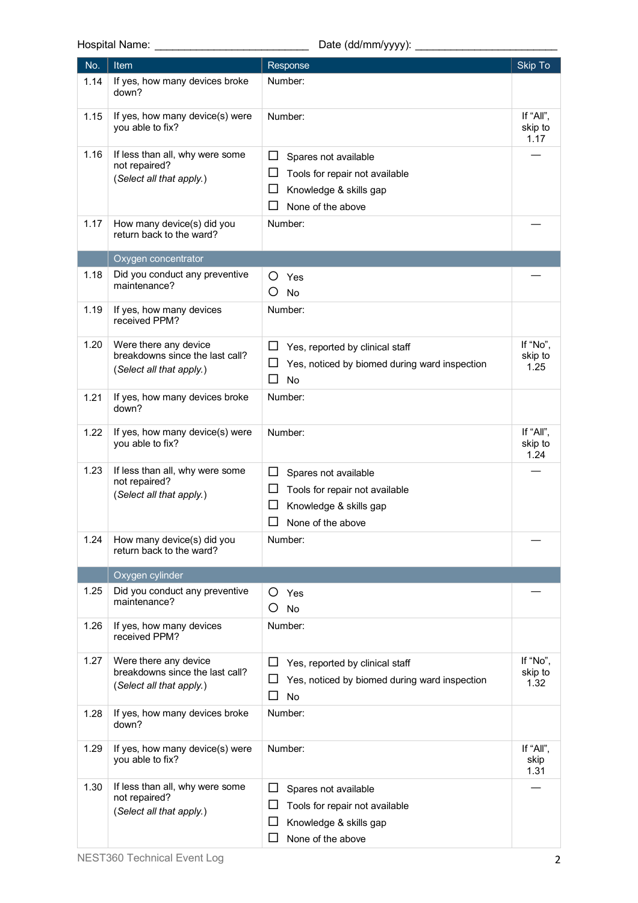Hospital Name: \_\_\_\_\_\_\_\_\_\_\_\_\_\_\_\_\_\_\_\_\_\_\_\_\_\_ Date (dd/mm/yyyy): \_\_\_\_\_\_\_\_\_\_\_\_\_\_\_\_\_\_\_\_\_\_\_\_

| No.  | <b>Item</b>                                                 | Response                                           | Skip To                      |
|------|-------------------------------------------------------------|----------------------------------------------------|------------------------------|
| 1.14 | If yes, how many devices broke<br>down?                     | Number:                                            |                              |
| 1.15 | If yes, how many device(s) were<br>you able to fix?         | Number:                                            | If "All",<br>skip to<br>1.17 |
| 1.16 | If less than all, why were some                             | $\Box$<br>Spares not available                     |                              |
|      | not repaired?<br>(Select all that apply.)                   | ப<br>Tools for repair not available                |                              |
|      |                                                             | ப<br>Knowledge & skills gap                        |                              |
|      |                                                             | None of the above<br>ΙI                            |                              |
| 1.17 | How many device(s) did you<br>return back to the ward?      | Number:                                            |                              |
|      | Oxygen concentrator                                         |                                                    |                              |
| 1.18 | Did you conduct any preventive<br>maintenance?              | O<br>Yes<br>Ő<br>No                                |                              |
| 1.19 | If yes, how many devices<br>received PPM?                   | Number:                                            |                              |
| 1.20 | Were there any device<br>breakdowns since the last call?    | Yes, reported by clinical staff<br>ப               | If "No",                     |
|      | (Select all that apply.)                                    | Yes, noticed by biomed during ward inspection<br>ப | skip to<br>1.25              |
|      |                                                             | □<br><b>No</b>                                     |                              |
| 1.21 | If yes, how many devices broke<br>down?                     | Number:                                            |                              |
| 1.22 | If yes, how many device(s) were<br>you able to fix?         | Number:                                            | If "All",<br>skip to<br>1.24 |
| 1.23 | If less than all, why were some<br>not repaired?            | ப<br>Spares not available                          |                              |
|      | (Select all that apply.)                                    | ப<br>Tools for repair not available                |                              |
|      |                                                             | ப<br>Knowledge & skills gap                        |                              |
|      |                                                             | $\sqcup$<br>None of the above                      |                              |
| 1.24 | How many device(s) did you<br>return back to the ward?      | Number:                                            |                              |
|      | Oxygen cylinder                                             |                                                    |                              |
| 1.25 | Did you conduct any preventive<br>maintenance?              | O<br>Yes                                           |                              |
|      |                                                             | O)<br>No                                           |                              |
| 1.26 | If yes, how many devices<br>received PPM?                   | Number:                                            |                              |
| 1.27 | Were there any device                                       | ப<br>Yes, reported by clinical staff               | If "No",                     |
|      | breakdowns since the last call?<br>(Select all that apply.) | ⊔<br>Yes, noticed by biomed during ward inspection | skip to<br>1.32              |
|      |                                                             | □<br>No                                            |                              |
| 1.28 | If yes, how many devices broke<br>down?                     | Number:                                            |                              |
| 1.29 | If yes, how many device(s) were<br>you able to fix?         | Number:                                            | If "All",<br>skip<br>1.31    |
| 1.30 | If less than all, why were some<br>not repaired?            | ப<br>Spares not available                          |                              |
|      | (Select all that apply.)                                    | Tools for repair not available<br>ப                |                              |
|      |                                                             | ப<br>Knowledge & skills gap                        |                              |
|      |                                                             | None of the above<br>$\Box$                        |                              |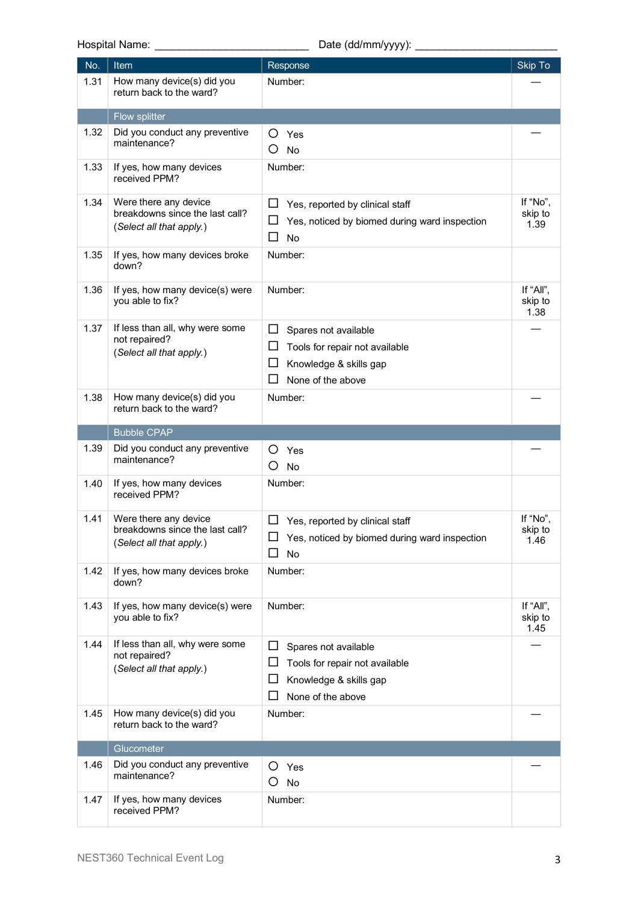Hospital Name: \_\_\_\_\_\_\_\_\_\_\_\_\_\_\_\_\_\_\_\_\_\_\_\_\_\_ Date (dd/mm/yyyy): \_\_\_\_\_\_\_\_\_\_\_\_\_\_\_\_\_\_\_\_\_\_\_\_

| No.  | Item                                                                                 | Response                                                                                                                   | Skip To                      |
|------|--------------------------------------------------------------------------------------|----------------------------------------------------------------------------------------------------------------------------|------------------------------|
| 1.31 | How many device(s) did you<br>return back to the ward?                               | Number:                                                                                                                    |                              |
|      | Flow splitter                                                                        |                                                                                                                            |                              |
| 1.32 | Did you conduct any preventive<br>maintenance?                                       | O<br>Yes<br>O<br>No                                                                                                        |                              |
| 1.33 | If yes, how many devices<br>received PPM?                                            | Number:                                                                                                                    |                              |
| 1.34 | Were there any device<br>breakdowns since the last call?<br>(Select all that apply.) | ப<br>Yes, reported by clinical staff<br>Yes, noticed by biomed during ward inspection<br>ப<br>□<br>No                      | If "No",<br>skip to<br>1.39  |
| 1.35 | If yes, how many devices broke<br>down?                                              | Number:                                                                                                                    |                              |
| 1.36 | If yes, how many device(s) were<br>you able to fix?                                  | Number:                                                                                                                    | If "All",<br>skip to<br>1.38 |
| 1.37 | If less than all, why were some<br>not repaired?<br>(Select all that apply.)         | ப<br>Spares not available<br>ப<br>Tools for repair not available<br>ப<br>Knowledge & skills gap<br>ΙI<br>None of the above |                              |
| 1.38 | How many device(s) did you<br>return back to the ward?                               | Number:                                                                                                                    |                              |
|      | <b>Bubble CPAP</b>                                                                   |                                                                                                                            |                              |
| 1.39 | Did you conduct any preventive<br>maintenance?                                       | O<br>Yes<br>Ο<br>No                                                                                                        |                              |
| 1.40 | If yes, how many devices<br>received PPM?                                            | Number:                                                                                                                    |                              |
| 1.41 | Were there any device<br>breakdowns since the last call?<br>(Select all that apply.) | ப<br>Yes, reported by clinical staff<br>Yes, noticed by biomed during ward inspection<br>□<br>No                           | If "No".<br>skip to<br>1.46  |
| 1.42 | If yes, how many devices broke<br>down?                                              | Number:                                                                                                                    |                              |
| 1.43 | If yes, how many device(s) were<br>you able to fix?                                  | Number:                                                                                                                    | If "All",<br>skip to<br>1.45 |
| 1.44 | If less than all, why were some<br>not repaired?<br>(Select all that apply.)         | ப<br>Spares not available<br>ப<br>Tools for repair not available<br>ப<br>Knowledge & skills gap<br>ΙI<br>None of the above |                              |
| 1.45 | How many device(s) did you<br>return back to the ward?                               | Number:                                                                                                                    |                              |
|      | Glucometer                                                                           |                                                                                                                            |                              |
| 1.46 | Did you conduct any preventive<br>maintenance?                                       | O<br>Yes<br>O<br><b>No</b>                                                                                                 |                              |
| 1.47 | If yes, how many devices<br>received PPM?                                            | Number:                                                                                                                    |                              |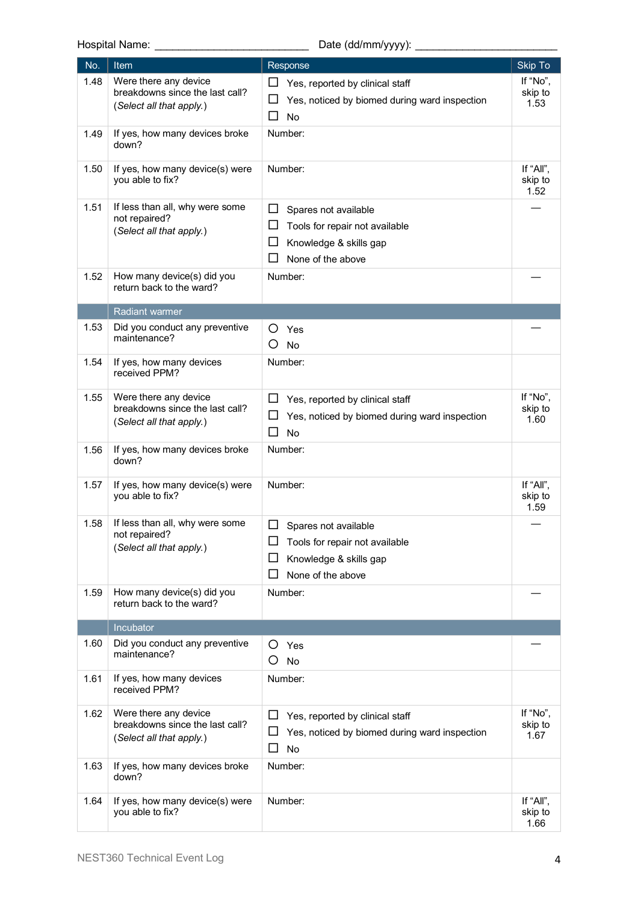# Hospital Name: \_\_\_\_\_\_\_\_\_\_\_\_\_\_\_\_\_\_\_\_\_\_\_\_\_\_ Date (dd/mm/yyyy): \_\_\_\_\_\_\_\_\_\_\_\_\_\_\_\_\_\_\_\_\_\_\_\_

| No.  | Item                                                                                 | Response                                                                                   | <b>Skip To</b>               |
|------|--------------------------------------------------------------------------------------|--------------------------------------------------------------------------------------------|------------------------------|
| 1.48 | Were there any device<br>breakdowns since the last call?<br>(Select all that apply.) | ப<br>Yes, reported by clinical staff<br>Yes, noticed by biomed during ward inspection<br>ப | If "No",<br>skip to<br>1.53  |
|      |                                                                                      | □<br>No                                                                                    |                              |
| 1.49 | If yes, how many devices broke<br>down?                                              | Number:                                                                                    |                              |
| 1.50 | If yes, how many device(s) were<br>you able to fix?                                  | Number:                                                                                    | If "All",<br>skip to<br>1.52 |
| 1.51 | If less than all, why were some                                                      | $\Box$<br>Spares not available                                                             |                              |
|      | not repaired?<br>(Select all that apply.)                                            | ப<br>Tools for repair not available                                                        |                              |
|      |                                                                                      | $\Box$<br>Knowledge & skills gap                                                           |                              |
|      |                                                                                      | ΙI<br>None of the above                                                                    |                              |
| 1.52 | How many device(s) did you<br>return back to the ward?                               | Number:                                                                                    |                              |
|      | <b>Radiant warmer</b>                                                                |                                                                                            |                              |
| 1.53 | Did you conduct any preventive                                                       | O<br>Yes                                                                                   |                              |
|      | maintenance?                                                                         | O<br><b>No</b>                                                                             |                              |
| 1.54 | If yes, how many devices<br>received PPM?                                            | Number:                                                                                    |                              |
| 1.55 | Were there any device                                                                | ப<br>Yes, reported by clinical staff                                                       | If "No",                     |
|      | breakdowns since the last call?                                                      | ப<br>Yes, noticed by biomed during ward inspection                                         | skip to<br>1.60              |
|      | (Select all that apply.)                                                             | □<br><b>No</b>                                                                             |                              |
| 1.56 | If yes, how many devices broke<br>down?                                              | Number:                                                                                    |                              |
| 1.57 | If yes, how many device(s) were<br>you able to fix?                                  | Number:                                                                                    | If "All",<br>skip to<br>1.59 |
| 1.58 | If less than all, why were some                                                      | □<br>Spares not available                                                                  |                              |
|      | not repaired?                                                                        | ப<br>Tools for repair not available                                                        |                              |
|      | (Select all that apply.)                                                             | Knowledge & skills gap<br>ப                                                                |                              |
|      |                                                                                      | ப<br>None of the above                                                                     |                              |
| 1.59 | How many device(s) did you<br>return back to the ward?                               | Number:                                                                                    |                              |
|      | Incubator                                                                            |                                                                                            |                              |
| 1.60 | Did you conduct any preventive                                                       | O<br>Yes                                                                                   |                              |
|      | maintenance?                                                                         | O<br>No                                                                                    |                              |
| 1.61 | If yes, how many devices                                                             | Number:                                                                                    |                              |
|      | received PPM?                                                                        |                                                                                            |                              |
| 1.62 | Were there any device<br>breakdowns since the last call?                             | ப<br>Yes, reported by clinical staff                                                       | If "No",<br>skip to          |
|      | (Select all that apply.)                                                             | ⊔<br>Yes, noticed by biomed during ward inspection                                         | 1.67                         |
|      |                                                                                      | □<br>No                                                                                    |                              |
| 1.63 | If yes, how many devices broke<br>down?                                              | Number:                                                                                    |                              |
| 1.64 | If yes, how many device(s) were<br>you able to fix?                                  | Number:                                                                                    | If "All",<br>skip to<br>1.66 |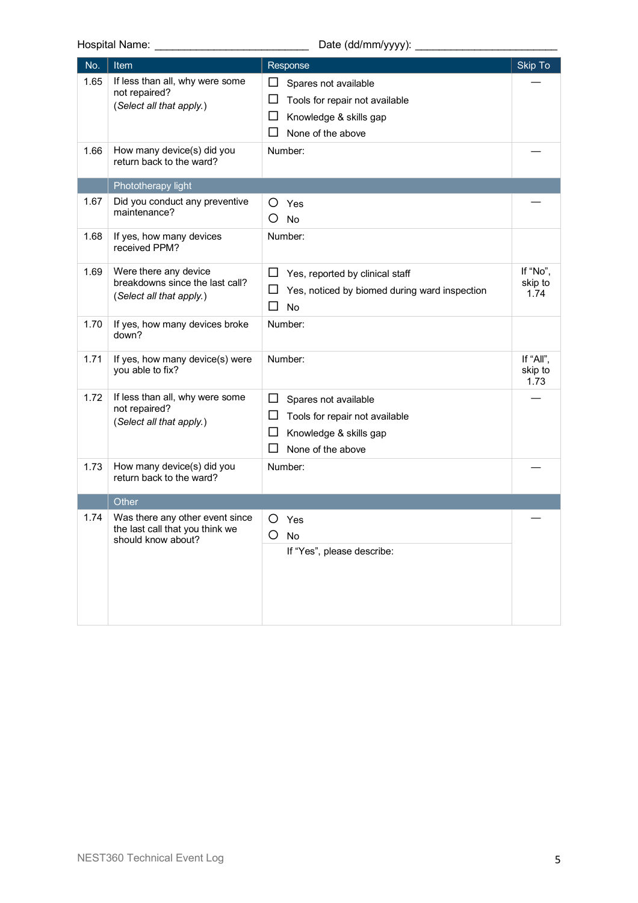Hospital Name: <br>
Hospital Name:  $\Box$  Date (dd/mm/yyyy):

| No.  | <b>Item</b>                                                                              | Response                                                                                                                            | Skip To                      |
|------|------------------------------------------------------------------------------------------|-------------------------------------------------------------------------------------------------------------------------------------|------------------------------|
| 1.65 | If less than all, why were some<br>not repaired?<br>(Select all that apply.)             | ப<br>Spares not available<br>□<br>Tools for repair not available<br>□<br>Knowledge & skills gap<br>ΙI<br>None of the above          |                              |
| 1.66 | How many device(s) did you<br>return back to the ward?                                   | Number:                                                                                                                             |                              |
|      | Phototherapy light                                                                       |                                                                                                                                     |                              |
| 1.67 | Did you conduct any preventive<br>maintenance?                                           | O<br>Yes<br>O<br>No                                                                                                                 |                              |
| 1.68 | If yes, how many devices<br>received PPM?                                                | Number:                                                                                                                             |                              |
| 1.69 | Were there any device<br>breakdowns since the last call?<br>(Select all that apply.)     | $\Box$<br>Yes, reported by clinical staff<br>ப<br>Yes, noticed by biomed during ward inspection<br>□<br>No                          | If "No",<br>skip to<br>1.74  |
| 1.70 | If yes, how many devices broke<br>down?                                                  | Number:                                                                                                                             |                              |
| 1.71 | If yes, how many device(s) were<br>you able to fix?                                      | Number:                                                                                                                             | If "All",<br>skip to<br>1.73 |
| 1.72 | If less than all, why were some<br>not repaired?<br>(Select all that apply.)             | $\Box$<br>Spares not available<br>ப<br>Tools for repair not available<br>$\Box$<br>Knowledge & skills gap<br>П<br>None of the above |                              |
| 1.73 | How many device(s) did you<br>return back to the ward?                                   | Number:                                                                                                                             |                              |
|      | Other                                                                                    |                                                                                                                                     |                              |
| 1.74 | Was there any other event since<br>the last call that you think we<br>should know about? | O<br>Yes<br>O<br>No<br>If "Yes", please describe:                                                                                   |                              |